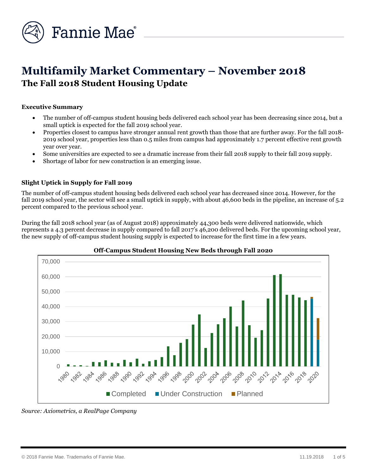

# **Multifamily Market Commentary – November 2018 The Fall 2018 Student Housing Update**

#### **Executive Summary**

- The number of off-campus student housing beds delivered each school year has been decreasing since 2014, but a small uptick is expected for the fall 2019 school year.
- Properties closest to campus have stronger annual rent growth than those that are further away. For the fall 2018- 2019 school year, properties less than 0.5 miles from campus had approximately 1.7 percent effective rent growth year over year.
- Some universities are expected to see a dramatic increase from their fall 2018 supply to their fall 2019 supply.
- Shortage of labor for new construction is an emerging issue.

### **Slight Uptick in Supply for Fall 2019**

The number of off-campus student housing beds delivered each school year has decreased since 2014. However, for the fall 2019 school year, the sector will see a small uptick in supply, with about 46,600 beds in the pipeline, an increase of 5.2 percent compared to the previous school year.

During the fall 2018 school year (as of August 2018) approximately 44,300 beds were delivered nationwide, which represents a 4.3 percent decrease in supply compared to fall 2017's 46,200 delivered beds. For the upcoming school year, the new supply of off-campus student housing supply is expected to increase for the first time in a few years.



#### **Off-Campus Student Housing New Beds through Fall 2020**

*Source: Axiometrics, a RealPage Company*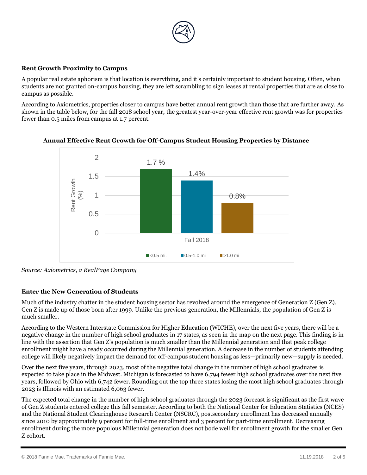

#### **Rent Growth Proximity to Campus**

A popular real estate aphorism is that location is everything, and it's certainly important to student housing. Often, when students are not granted on-campus housing, they are left scrambling to sign leases at rental properties that are as close to campus as possible.

According to Axiometrics, properties closer to campus have better annual rent growth than those that are further away. As shown in the table below, for the fall 2018 school year, the greatest year-over-year effective rent growth was for properties fewer than 0.5 miles from campus at 1.7 percent.



**Annual Effective Rent Growth for Off-Campus Student Housing Properties by Distance**

*Source: Axiometrics, a RealPage Company*

### **Enter the New Generation of Students**

Much of the industry chatter in the student housing sector has revolved around the emergence of Generation Z (Gen Z). Gen Z is made up of those born after 1999. Unlike the previous generation, the Millennials, the population of Gen Z is much smaller.

According to the Western Interstate Commission for Higher Education (WICHE), over the next five years, there will be a negative change in the number of high school graduates in 17 states, as seen in the map on the next page. This finding is in line with the assertion that Gen Z's population is much smaller than the Millennial generation and that peak college enrollment might have already occurred during the Millennial generation. A decrease in the number of students attending college will likely negatively impact the demand for off-campus student housing as less—primarily new—supply is needed.

Over the next five years, through 2023, most of the negative total change in the number of high school graduates is expected to take place in the Midwest. Michigan is forecasted to have 6,794 fewer high school graduates over the next five years, followed by Ohio with 6,742 fewer. Rounding out the top three states losing the most high school graduates through 2023 is Illinois with an estimated 6,063 fewer.

The expected total change in the number of high school graduates through the 2023 forecast is significant as the first wave of Gen Z students entered college this fall semester. According to both the National Center for Education Statistics (NCES) and the National Student Clearinghouse Research Center (NSCRC), postsecondary enrollment has decreased annually since 2010 by approximately 9 percent for full-time enrollment and 3 percent for part-time enrollment. Decreasing enrollment during the more populous Millennial generation does not bode well for enrollment growth for the smaller Gen Z cohort.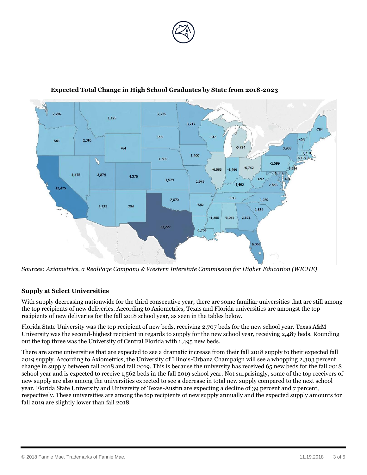



 **Expected Total Change in High School Graduates by State from 2018-2023**

*Sources: Axiometrics, a RealPage Company & Western Interstate Commission for Higher Education (WICHE)*

### **Supply at Select Universities**

With supply decreasing nationwide for the third consecutive year, there are some familiar universities that are still among the top recipients of new deliveries. According to Axiometrics, Texas and Florida universities are amongst the top recipients of new deliveries for the fall 2018 school year, as seen in the tables below.

Florida State University was the top recipient of new beds, receiving 2,707 beds for the new school year. Texas A&M University was the second-highest recipient in regards to supply for the new school year, receiving 2,487 beds. Rounding out the top three was the University of Central Florida with 1,495 new beds.

There are some universities that are expected to see a dramatic increase from their fall 2018 supply to their expected fall 2019 supply. According to Axiometrics, the University of Illinois-Urbana Champaign will see a whopping 2,303 percent change in supply between fall 2018 and fall 2019. This is because the university has received 65 new beds for the fall 2018 school year and is expected to receive 1,562 beds in the fall 2019 school year. Not surprisingly, some of the top receivers of new supply are also among the universities expected to see a decrease in total new supply compared to the next school year. Florida State University and University of Texas-Austin are expecting a decline of 39 percent and 7 percent, respectively. These universities are among the top recipients of new supply annually and the expected supply amounts for fall 2019 are slightly lower than fall 2018.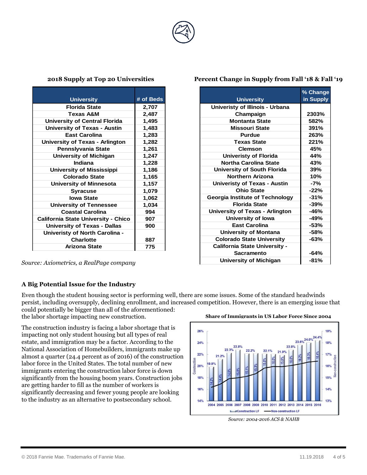

| <b>University</b>                          | # of Beds |
|--------------------------------------------|-----------|
| <b>Florida State</b>                       | 2,707     |
| Texas A&M                                  | 2,487     |
| University of Central Florida              | 1,495     |
| <b>University of Texas - Austin</b>        | 1,483     |
| <b>East Carolina</b>                       | 1,283     |
| <b>University of Texas - Arlington</b>     | 1,282     |
| Pennslyvania State                         | 1,261     |
| <b>University of Michigan</b>              | 1,247     |
| Indiana                                    | 1,228     |
| <b>University of Mississippi</b>           | 1,186     |
| <b>Colorado State</b>                      | 1,165     |
| <b>University of Minnesota</b>             | 1,157     |
| <b>Syracuse</b>                            | 1,079     |
| <b>lowa State</b>                          | 1,062     |
| <b>University of Tennessee</b>             | 1,034     |
| <b>Coastal Carolina</b>                    | 994       |
| <b>California State University - Chico</b> | 907       |
| <b>University of Texas - Dallas</b>        | 900       |
| Univeristy of North Carolina -             |           |
| <b>Charlotte</b>                           | 887       |
| Arizona State                              | 775       |

*Source: Axiometrics, a RealPage company*

### **A Big Potential Issue for the Industry**

Even though the student housing sector is performing well, there are some issues. Some of the standard headwinds persist, including oversupply, declining enrollment, and increased competition. However, there is an emerging issue that

could potentially be bigger than all of the aforementioned: the labor shortage impacting new construction.

The construction industry is facing a labor shortage that is impacting not only student housing but all types of real estate, and immigration may be a factor. According to the National Association of Homebuilders, immigrants make up almost a quarter (24.4 percent as of 2016) of the construction labor force in the United States. The total number of new immigrants entering the construction labor force is down significantly from the housing boom years. Construction jobs are getting harder to fill as the number of workers is significantly decreasing and fewer young people are looking to the industry as an alternative to postsecondary school.

**Share of Immigrants in US Labor Force Since 2004**



*Source: 2004-2016 ACS & NAHB*

## **2018 Supply at Top 20 Universities Percent Change in Supply from Fall '18 & Fall '19**

**Champaign 2303% Montanta State 582% Missouri State 391% Purdue 263% Texas State 221% Clemson 45% Univeristy of Florida 44% Northa Carolina State 1 43% University of South Florida 39% Northern Arizona** | 10% **Univeristy of Texas - Austin -7%**

**Ohio State -22%**

**Florida State -39%**

Sacramento **1** -64% **University of Michigan -81%**

**Georgia Institute of Technology -31%**

**University of Texas - Arlington -46% University of Iowa -49% East Carolina -53% University of Montana -58% Colorado State University -63%**

**California State University -** 

**% Change in Supply**

**University**

**Univeristy of Illinois - Urbana**